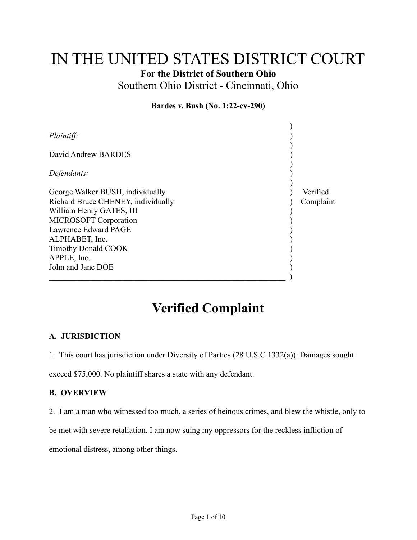# IN THE UNITED STATES DISTRICT COURT

For the District of Southern Ohio

Southern Ohio District - Cincinnati, Ohio

#### Bardes v. Bush (No. 1:22-cv-290)

| <i>Plaintiff:</i>                                              |           |
|----------------------------------------------------------------|-----------|
| David Andrew BARDES                                            |           |
| Defendants:                                                    |           |
| George Walker BUSH, individually                               | Verified  |
| Richard Bruce CHENEY, individually<br>William Henry GATES, III | Complaint |
| <b>MICROSOFT</b> Corporation<br>Lawrence Edward PAGE           |           |
| ALPHABET, Inc.                                                 |           |
| <b>Timothy Donald COOK</b><br>APPLE, Inc.                      |           |
| John and Jane DOE                                              |           |

# Verified Complaint

## A. JURISDICTION

1. This court has jurisdiction under Diversity of Parties (28 U.S.C 1332(a)). Damages sought

exceed \$75,000. No plaintiff shares a state with any defendant.

#### B. OVERVIEW

2. I am a man who witnessed too much, a series of heinous crimes, and blew the whistle, only to

be met with severe retaliation. I am now suing my oppressors for the reckless infliction of

emotional distress, among other things.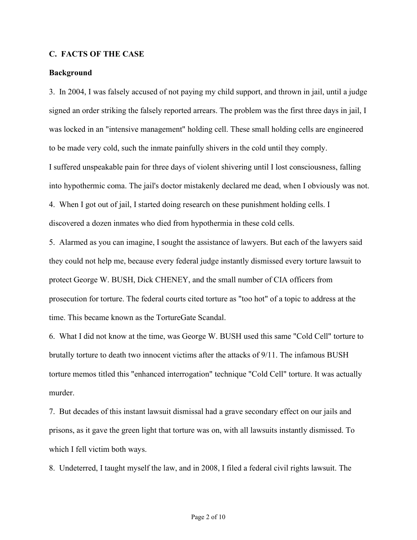#### C. FACTS OF THE CASE

#### Background

3. In 2004, I was falsely accused of not paying my child support, and thrown in jail, until a judge signed an order striking the falsely reported arrears. The problem was the first three days in jail, I was locked in an "intensive management" holding cell. These small holding cells are engineered to be made very cold, such the inmate painfully shivers in the cold until they comply. I suffered unspeakable pain for three days of violent shivering until I lost consciousness, falling into hypothermic coma. The jail's doctor mistakenly declared me dead, when I obviously was not. 4. When I got out of jail, I started doing research on these punishment holding cells. I discovered a dozen inmates who died from hypothermia in these cold cells.

5. Alarmed as you can imagine, I sought the assistance of lawyers. But each of the lawyers said they could not help me, because every federal judge instantly dismissed every torture lawsuit to protect George W. BUSH, Dick CHENEY, and the small number of CIA officers from prosecution for torture. The federal courts cited torture as "too hot" of a topic to address at the time. This became known as the TortureGate Scandal.

6. What I did not know at the time, was George W. BUSH used this same "Cold Cell" torture to brutally torture to death two innocent victims after the attacks of 9/11. The infamous BUSH torture memos titled this "enhanced interrogation" technique "Cold Cell" torture. It was actually murder.

7. But decades of this instant lawsuit dismissal had a grave secondary effect on our jails and prisons, as it gave the green light that torture was on, with all lawsuits instantly dismissed. To which I fell victim both ways.

8. Undeterred, I taught myself the law, and in 2008, I filed a federal civil rights lawsuit. The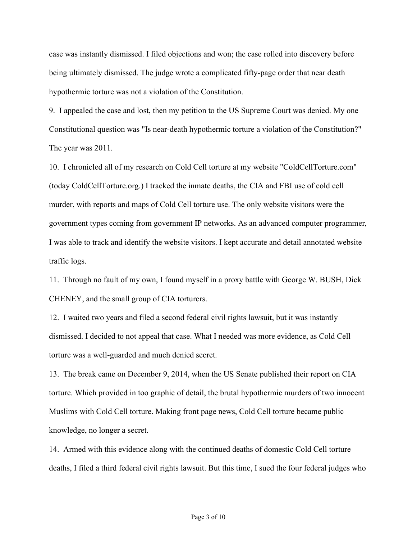case was instantly dismissed. I filed objections and won; the case rolled into discovery before being ultimately dismissed. The judge wrote a complicated fifty-page order that near death hypothermic torture was not a violation of the Constitution.

9. I appealed the case and lost, then my petition to the US Supreme Court was denied. My one Constitutional question was "Is near-death hypothermic torture a violation of the Constitution?" The year was 2011.

10. I chronicled all of my research on Cold Cell torture at my website "ColdCellTorture.com" (today ColdCellTorture.org.) I tracked the inmate deaths, the CIA and FBI use of cold cell murder, with reports and maps of Cold Cell torture use. The only website visitors were the government types coming from government IP networks. As an advanced computer programmer, I was able to track and identify the website visitors. I kept accurate and detail annotated website traffic logs.

11. Through no fault of my own, I found myself in a proxy battle with George W. BUSH, Dick CHENEY, and the small group of CIA torturers.

12. I waited two years and filed a second federal civil rights lawsuit, but it was instantly dismissed. I decided to not appeal that case. What I needed was more evidence, as Cold Cell torture was a well-guarded and much denied secret.

13. The break came on December 9, 2014, when the US Senate published their report on CIA torture. Which provided in too graphic of detail, the brutal hypothermic murders of two innocent Muslims with Cold Cell torture. Making front page news, Cold Cell torture became public knowledge, no longer a secret.

14. Armed with this evidence along with the continued deaths of domestic Cold Cell torture deaths, I filed a third federal civil rights lawsuit. But this time, I sued the four federal judges who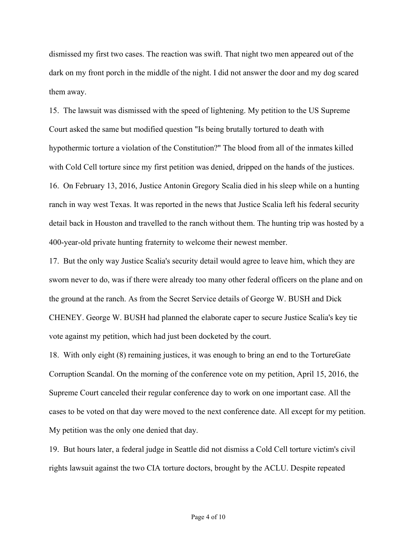dismissed my first two cases. The reaction was swift. That night two men appeared out of the dark on my front porch in the middle of the night. I did not answer the door and my dog scared them away.

15. The lawsuit was dismissed with the speed of lightening. My petition to the US Supreme Court asked the same but modified question "Is being brutally tortured to death with hypothermic torture a violation of the Constitution?" The blood from all of the inmates killed with Cold Cell torture since my first petition was denied, dripped on the hands of the justices. 16. On February 13, 2016, Justice Antonin Gregory Scalia died in his sleep while on a hunting ranch in way west Texas. It was reported in the news that Justice Scalia left his federal security detail back in Houston and travelled to the ranch without them. The hunting trip was hosted by a 400-year-old private hunting fraternity to welcome their newest member.

17. But the only way Justice Scalia's security detail would agree to leave him, which they are sworn never to do, was if there were already too many other federal officers on the plane and on the ground at the ranch. As from the Secret Service details of George W. BUSH and Dick CHENEY. George W. BUSH had planned the elaborate caper to secure Justice Scalia's key tie vote against my petition, which had just been docketed by the court.

18. With only eight (8) remaining justices, it was enough to bring an end to the TortureGate Corruption Scandal. On the morning of the conference vote on my petition, April 15, 2016, the Supreme Court canceled their regular conference day to work on one important case. All the cases to be voted on that day were moved to the next conference date. All except for my petition. My petition was the only one denied that day.

19. But hours later, a federal judge in Seattle did not dismiss a Cold Cell torture victim's civil rights lawsuit against the two CIA torture doctors, brought by the ACLU. Despite repeated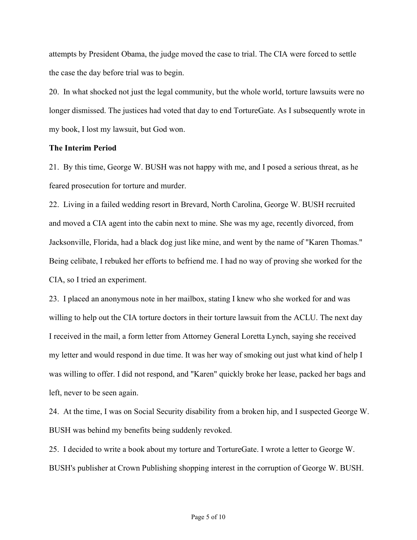attempts by President Obama, the judge moved the case to trial. The CIA were forced to settle the case the day before trial was to begin.

20. In what shocked not just the legal community, but the whole world, torture lawsuits were no longer dismissed. The justices had voted that day to end TortureGate. As I subsequently wrote in my book, I lost my lawsuit, but God won.

#### The Interim Period

21. By this time, George W. BUSH was not happy with me, and I posed a serious threat, as he feared prosecution for torture and murder.

22. Living in a failed wedding resort in Brevard, North Carolina, George W. BUSH recruited and moved a CIA agent into the cabin next to mine. She was my age, recently divorced, from Jacksonville, Florida, had a black dog just like mine, and went by the name of "Karen Thomas." Being celibate, I rebuked her efforts to befriend me. I had no way of proving she worked for the CIA, so I tried an experiment.

23. I placed an anonymous note in her mailbox, stating I knew who she worked for and was willing to help out the CIA torture doctors in their torture lawsuit from the ACLU. The next day I received in the mail, a form letter from Attorney General Loretta Lynch, saying she received my letter and would respond in due time. It was her way of smoking out just what kind of help I was willing to offer. I did not respond, and "Karen" quickly broke her lease, packed her bags and left, never to be seen again.

24. At the time, I was on Social Security disability from a broken hip, and I suspected George W. BUSH was behind my benefits being suddenly revoked.

25. I decided to write a book about my torture and TortureGate. I wrote a letter to George W. BUSH's publisher at Crown Publishing shopping interest in the corruption of George W. BUSH.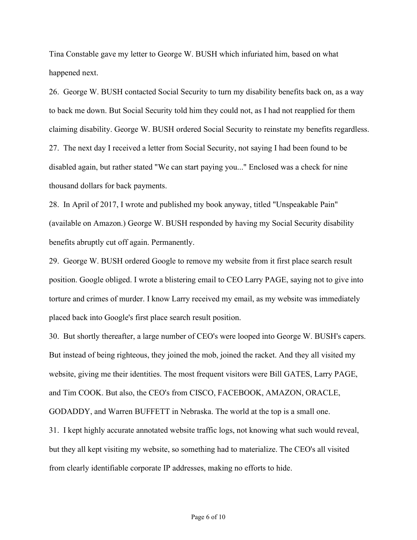Tina Constable gave my letter to George W. BUSH which infuriated him, based on what happened next.

26. George W. BUSH contacted Social Security to turn my disability benefits back on, as a way to back me down. But Social Security told him they could not, as I had not reapplied for them claiming disability. George W. BUSH ordered Social Security to reinstate my benefits regardless. 27. The next day I received a letter from Social Security, not saying I had been found to be disabled again, but rather stated "We can start paying you..." Enclosed was a check for nine thousand dollars for back payments.

28. In April of 2017, I wrote and published my book anyway, titled "Unspeakable Pain" (available on Amazon.) George W. BUSH responded by having my Social Security disability benefits abruptly cut off again. Permanently.

29. George W. BUSH ordered Google to remove my website from it first place search result position. Google obliged. I wrote a blistering email to CEO Larry PAGE, saying not to give into torture and crimes of murder. I know Larry received my email, as my website was immediately placed back into Google's first place search result position.

30. But shortly thereafter, a large number of CEO's were looped into George W. BUSH's capers. But instead of being righteous, they joined the mob, joined the racket. And they all visited my website, giving me their identities. The most frequent visitors were Bill GATES, Larry PAGE, and Tim COOK. But also, the CEO's from CISCO, FACEBOOK, AMAZON, ORACLE, GODADDY, and Warren BUFFETT in Nebraska. The world at the top is a small one. 31. I kept highly accurate annotated website traffic logs, not knowing what such would reveal, but they all kept visiting my website, so something had to materialize. The CEO's all visited from clearly identifiable corporate IP addresses, making no efforts to hide.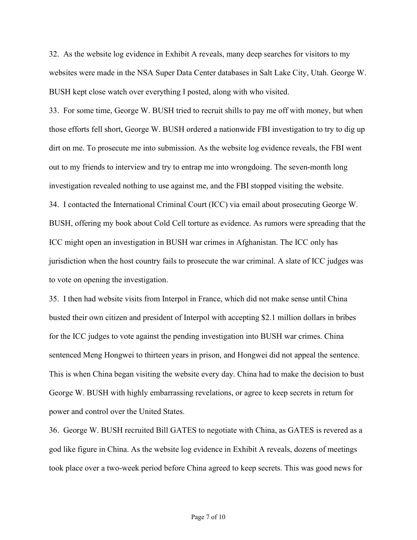32. As the website log evidence in Exhibit A reveals, many deep searches for visitors to my websites were made in the NSA Super Data Center databases in Salt Lake City, Utah. George W. BUSH kept close watch over everything I posted, along with who visited.

33. For some time, George W. BUSH tried to recruit shills to pay me off with money, but when those efforts fell short, George W. BUSH ordered a nationwide FBI investigation to try to dig up dirt on me. To prosecute me into submission. As the website log evidence reveals, the FBI went out to my friends to interview and try to entrap me into wrongdoing. The seven-month long investigation revealed nothing to use against me, and the FBI stopped visiting the website. 34. I contacted the International Criminal Court (ICC) via email about prosecuting George W. BUSH, offering my book about Cold Cell torture as evidence. As rumors were spreading that the ICC might open an investigation in BUSH war crimes in Afghanistan. The ICC only has jurisdiction when the host country fails to prosecute the war criminal. A slate of ICC judges was to vote on opening the investigation.

35. I then had website visits from Interpol in France, which did not make sense until China busted their own citizen and president of Interpol with accepting \$2.1 million dollars in bribes for the ICC judges to vote against the pending investigation into BUSH war crimes. China sentenced Meng Hongwei to thirteen years in prison, and Hongwei did not appeal the sentence. This is when China began visiting the website every day. China had to make the decision to bust George W. BUSH with highly embarrassing revelations, or agree to keep secrets in return for power and control over the United States.

36. George W. BUSH recruited Bill GATES to negotiate with China, as GATES is revered as a god like figure in China. As the website log evidence in Exhibit A reveals, dozens of meetings took place over a two-week period before China agreed to keep secrets. This was good news for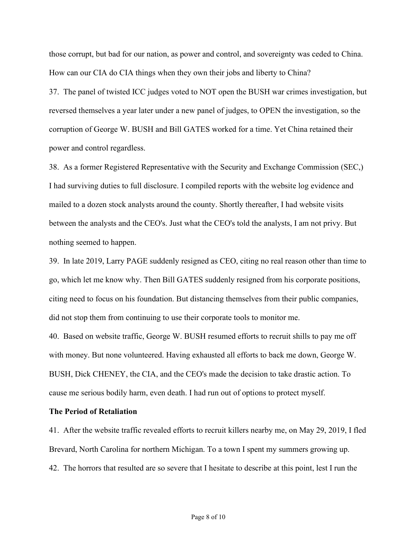those corrupt, but bad for our nation, as power and control, and sovereignty was ceded to China. How can our CIA do CIA things when they own their jobs and liberty to China?

37. The panel of twisted ICC judges voted to NOT open the BUSH war crimes investigation, but reversed themselves a year later under a new panel of judges, to OPEN the investigation, so the corruption of George W. BUSH and Bill GATES worked for a time. Yet China retained their power and control regardless.

38. As a former Registered Representative with the Security and Exchange Commission (SEC,) I had surviving duties to full disclosure. I compiled reports with the website log evidence and mailed to a dozen stock analysts around the county. Shortly thereafter, I had website visits between the analysts and the CEO's. Just what the CEO's told the analysts, I am not privy. But nothing seemed to happen.

39. In late 2019, Larry PAGE suddenly resigned as CEO, citing no real reason other than time to go, which let me know why. Then Bill GATES suddenly resigned from his corporate positions, citing need to focus on his foundation. But distancing themselves from their public companies, did not stop them from continuing to use their corporate tools to monitor me.

40. Based on website traffic, George W. BUSH resumed efforts to recruit shills to pay me off with money. But none volunteered. Having exhausted all efforts to back me down, George W. BUSH, Dick CHENEY, the CIA, and the CEO's made the decision to take drastic action. To cause me serious bodily harm, even death. I had run out of options to protect myself.

#### The Period of Retaliation

41. After the website traffic revealed efforts to recruit killers nearby me, on May 29, 2019, I fled Brevard, North Carolina for northern Michigan. To a town I spent my summers growing up. 42. The horrors that resulted are so severe that I hesitate to describe at this point, lest I run the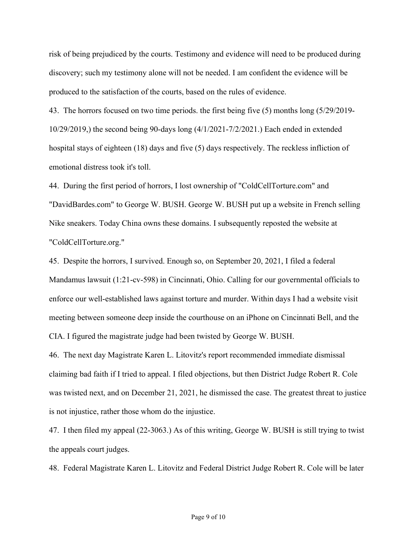risk of being prejudiced by the courts. Testimony and evidence will need to be produced during discovery; such my testimony alone will not be needed. I am confident the evidence will be produced to the satisfaction of the courts, based on the rules of evidence.

43. The horrors focused on two time periods. the first being five (5) months long (5/29/2019- 10/29/2019,) the second being 90-days long (4/1/2021-7/2/2021.) Each ended in extended hospital stays of eighteen (18) days and five (5) days respectively. The reckless infliction of emotional distress took it's toll.

44. During the first period of horrors, I lost ownership of "ColdCellTorture.com" and "DavidBardes.com" to George W. BUSH. George W. BUSH put up a website in French selling Nike sneakers. Today China owns these domains. I subsequently reposted the website at "ColdCellTorture.org."

45. Despite the horrors, I survived. Enough so, on September 20, 2021, I filed a federal Mandamus lawsuit (1:21-cv-598) in Cincinnati, Ohio. Calling for our governmental officials to enforce our well-established laws against torture and murder. Within days I had a website visit meeting between someone deep inside the courthouse on an iPhone on Cincinnati Bell, and the CIA. I figured the magistrate judge had been twisted by George W. BUSH.

46. The next day Magistrate Karen L. Litovitz's report recommended immediate dismissal claiming bad faith if I tried to appeal. I filed objections, but then District Judge Robert R. Cole was twisted next, and on December 21, 2021, he dismissed the case. The greatest threat to justice is not injustice, rather those whom do the injustice.

47. I then filed my appeal (22-3063.) As of this writing, George W. BUSH is still trying to twist the appeals court judges.

48. Federal Magistrate Karen L. Litovitz and Federal District Judge Robert R. Cole will be later